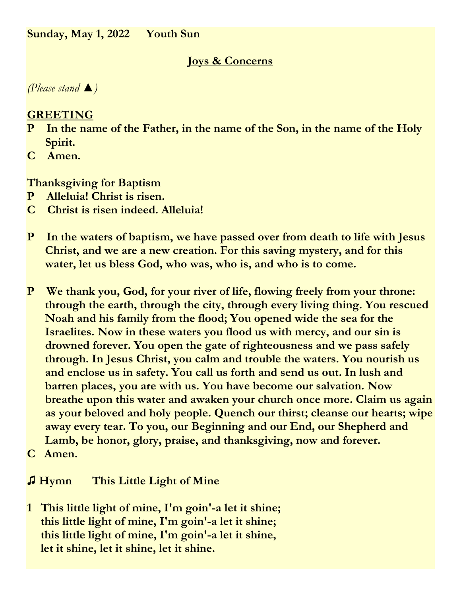# **Joys & Concerns**

# *(Please stand ▲)*

# **GREETING**

- **P In the name of the Father, in the name of the Son, in the name of the Holy Spirit.**
- **C Amen.**

# **Thanksgiving for Baptism**

- **P Alleluia! Christ is risen.**
- **C Christ is risen indeed. Alleluia!**
- **P In the waters of baptism, we have passed over from death to life with Jesus Christ, and we are a new creation. For this saving mystery, and for this water, let us bless God, who was, who is, and who is to come.**
- **P We thank you, God, for your river of life, flowing freely from your throne: through the earth, through the city, through every living thing. You rescued Noah and his family from the flood; You opened wide the sea for the Israelites. Now in these waters you flood us with mercy, and our sin is drowned forever. You open the gate of righteousness and we pass safely through. In Jesus Christ, you calm and trouble the waters. You nourish us and enclose us in safety. You call us forth and send us out. In lush and barren places, you are with us. You have become our salvation. Now breathe upon this water and awaken your church once more. Claim us again as your beloved and holy people. Quench our thirst; cleanse our hearts; wipe away every tear. To you, our Beginning and our End, our Shepherd and Lamb, be honor, glory, praise, and thanksgiving, now and forever.**
- **C Amen.**

# **♫ Hymn This Little Light of Mine**

**1 This little light of mine, I'm goin'-a let it shine; this little light of mine, I'm goin'-a let it shine; this little light of mine, I'm goin'-a let it shine, let it shine, let it shine, let it shine.**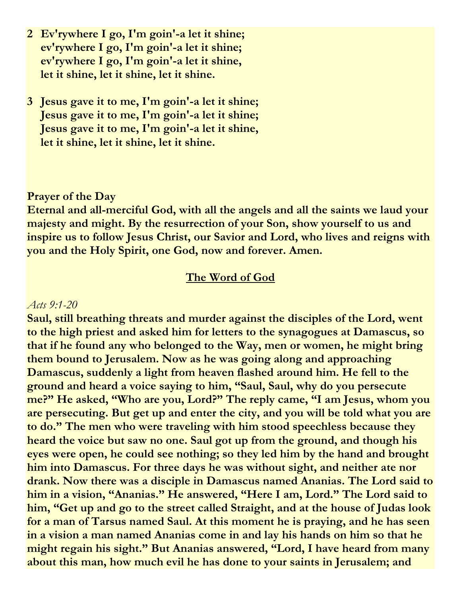- **2 Ev'rywhere I go, I'm goin'-a let it shine; ev'rywhere I go, I'm goin'-a let it shine; ev'rywhere I go, I'm goin'-a let it shine, let it shine, let it shine, let it shine.**
- **3 Jesus gave it to me, I'm goin'-a let it shine; Jesus gave it to me, I'm goin'-a let it shine; Jesus gave it to me, I'm goin'-a let it shine, let it shine, let it shine, let it shine.**

#### **Prayer of the Day**

**Eternal and all-merciful God, with all the angels and all the saints we laud your majesty and might. By the resurrection of your Son, show yourself to us and inspire us to follow Jesus Christ, our Savior and Lord, who lives and reigns with you and the Holy Spirit, one God, now and forever. Amen.**

#### **The Word of God**

#### *Acts 9:1-20*

**Saul, still breathing threats and murder against the disciples of the Lord, went to the high priest and asked him for letters to the synagogues at Damascus, so that if he found any who belonged to the Way, men or women, he might bring them bound to Jerusalem. Now as he was going along and approaching Damascus, suddenly a light from heaven flashed around him. He fell to the ground and heard a voice saying to him, "Saul, Saul, why do you persecute me?" He asked, "Who are you, Lord?" The reply came, "I am Jesus, whom you are persecuting. But get up and enter the city, and you will be told what you are to do." The men who were traveling with him stood speechless because they heard the voice but saw no one. Saul got up from the ground, and though his eyes were open, he could see nothing; so they led him by the hand and brought him into Damascus. For three days he was without sight, and neither ate nor drank. Now there was a disciple in Damascus named Ananias. The Lord said to him in a vision, "Ananias." He answered, "Here I am, Lord." The Lord said to him, "Get up and go to the street called Straight, and at the house of Judas look for a man of Tarsus named Saul. At this moment he is praying, and he has seen in a vision a man named Ananias come in and lay his hands on him so that he might regain his sight." But Ananias answered, "Lord, I have heard from many about this man, how much evil he has done to your saints in Jerusalem; and**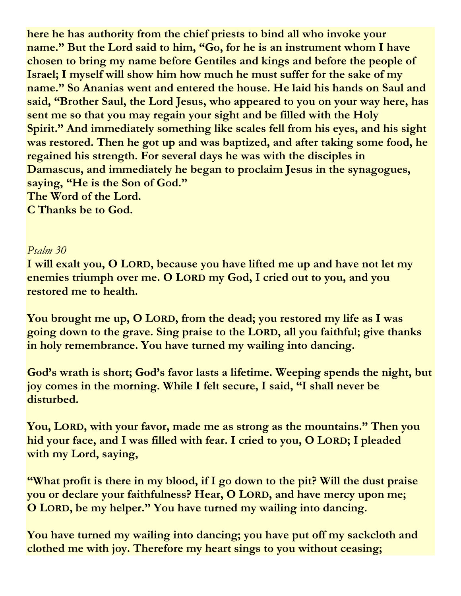**here he has authority from the chief priests to bind all who invoke your name." But the Lord said to him, "Go, for he is an instrument whom I have chosen to bring my name before Gentiles and kings and before the people of Israel; I myself will show him how much he must suffer for the sake of my name." So Ananias went and entered the house. He laid his hands on Saul and said, "Brother Saul, the Lord Jesus, who appeared to you on your way here, has sent me so that you may regain your sight and be filled with the Holy Spirit." And immediately something like scales fell from his eyes, and his sight was restored. Then he got up and was baptized, and after taking some food, he regained his strength. For several days he was with the disciples in Damascus, and immediately he began to proclaim Jesus in the synagogues, saying, "He is the Son of God." The Word of the Lord. C Thanks be to God.**

#### *Psalm 30*

**I will exalt you, O LORD, because you have lifted me up and have not let my enemies triumph over me. O LORD my God, I cried out to you, and you restored me to health.**

**You brought me up, O LORD, from the dead; you restored my life as I was going down to the grave. Sing praise to the LORD, all you faithful; give thanks in holy remembrance. You have turned my wailing into dancing.**

**God's wrath is short; God's favor lasts a lifetime. Weeping spends the night, but joy comes in the morning. While I felt secure, I said, "I shall never be disturbed.**

**You, LORD, with your favor, made me as strong as the mountains." Then you hid your face, and I was filled with fear. I cried to you, O LORD; I pleaded with my Lord, saying,**

**"What profit is there in my blood, if I go down to the pit? Will the dust praise you or declare your faithfulness? Hear, O LORD, and have mercy upon me; O LORD, be my helper." You have turned my wailing into dancing.**

**You have turned my wailing into dancing; you have put off my sackcloth and clothed me with joy. Therefore my heart sings to you without ceasing;**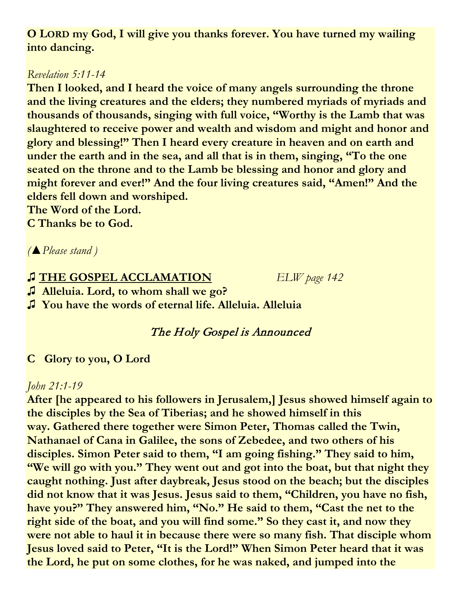**O LORD my God, I will give you thanks forever. You have turned my wailing into dancing.**

#### *Revelation 5:11-14*

**Then I looked, and I heard the voice of many angels surrounding the throne and the living creatures and the elders; they numbered myriads of myriads and thousands of thousands, singing with full voice, "Worthy is the Lamb that was slaughtered to receive power and wealth and wisdom and might and honor and glory and blessing!" Then I heard every creature in heaven and on earth and under the earth and in the sea, and all that is in them, singing, "To the one seated on the throne and to the Lamb be blessing and honor and glory and might forever and ever!" And the four living creatures said, "Amen!" And the elders fell down and worshiped. The Word of the Lord.**

**C Thanks be to God.** 

*(▲Please stand )*

#### **♫ THE GOSPEL ACCLAMATION** *ELW page 142*

**♫ Alleluia. Lord, to whom shall we go? ♫ You have the words of eternal life. Alleluia. Alleluia**

The Holy Gospel is Announced

#### **C Glory to you, O Lord**

# *John 21:1-19*

**After [he appeared to his followers in Jerusalem,] Jesus showed himself again to the disciples by the Sea of Tiberias; and he showed himself in this way. Gathered there together were Simon Peter, Thomas called the Twin, Nathanael of Cana in Galilee, the sons of Zebedee, and two others of his disciples. Simon Peter said to them, "I am going fishing." They said to him, "We will go with you." They went out and got into the boat, but that night they caught nothing. Just after daybreak, Jesus stood on the beach; but the disciples did not know that it was Jesus. Jesus said to them, "Children, you have no fish, have you?" They answered him, "No." He said to them, "Cast the net to the right side of the boat, and you will find some." So they cast it, and now they were not able to haul it in because there were so many fish. That disciple whom Jesus loved said to Peter, "It is the Lord!" When Simon Peter heard that it was the Lord, he put on some clothes, for he was naked, and jumped into the**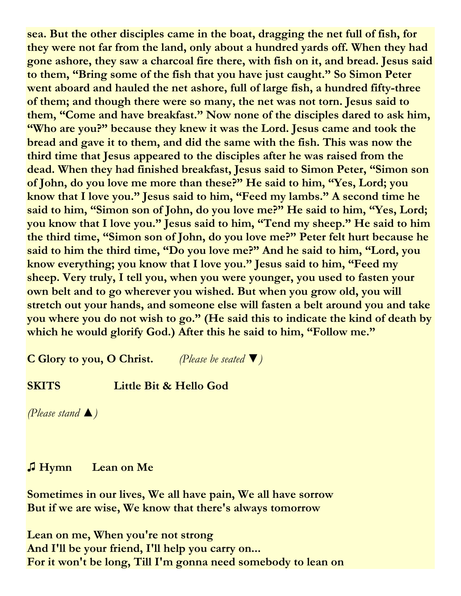**sea. But the other disciples came in the boat, dragging the net full of fish, for they were not far from the land, only about a hundred yards off. When they had gone ashore, they saw a charcoal fire there, with fish on it, and bread. Jesus said to them, "Bring some of the fish that you have just caught." So Simon Peter went aboard and hauled the net ashore, full of large fish, a hundred fifty-three of them; and though there were so many, the net was not torn. Jesus said to them, "Come and have breakfast." Now none of the disciples dared to ask him, "Who are you?" because they knew it was the Lord. Jesus came and took the bread and gave it to them, and did the same with the fish. This was now the third time that Jesus appeared to the disciples after he was raised from the dead. When they had finished breakfast, Jesus said to Simon Peter, "Simon son of John, do you love me more than these?" He said to him, "Yes, Lord; you know that I love you." Jesus said to him, "Feed my lambs." A second time he said to him, "Simon son of John, do you love me?" He said to him, "Yes, Lord; you know that I love you." Jesus said to him, "Tend my sheep." He said to him the third time, "Simon son of John, do you love me?" Peter felt hurt because he said to him the third time, "Do you love me?" And he said to him, "Lord, you know everything; you know that I love you." Jesus said to him, "Feed my sheep. Very truly, I tell you, when you were younger, you used to fasten your own belt and to go wherever you wished. But when you grow old, you will stretch out your hands, and someone else will fasten a belt around you and take you where you do not wish to go." (He said this to indicate the kind of death by which he would glorify God.) After this he said to him, "Follow me."**

**C Glory to you, O Christ.** *(Please be seated ▼)*

#### **SKITS Little Bit & Hello God**

*(Please stand ▲)*

#### **♫ Hymn Lean on Me**

**Sometimes in our lives, We all have pain, We all have sorrow But if we are wise, We know that there's always tomorrow**

**Lean on me, When you're not strong And I'll be your friend, I'll help you carry on... For it won't be long, Till I'm gonna need somebody to lean on**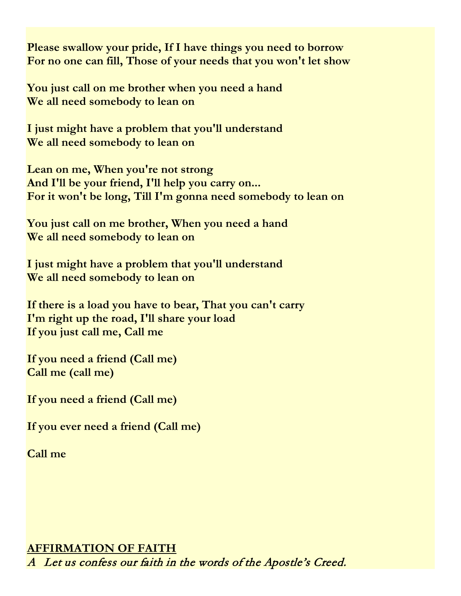**Please swallow your pride, If I have things you need to borrow For no one can fill, Those of your needs that you won't let show**

**You just call on me brother when you need a hand We all need somebody to lean on**

**I just might have a problem that you'll understand We all need somebody to lean on**

**Lean on me, When you're not strong And I'll be your friend, I'll help you carry on... For it won't be long, Till I'm gonna need somebody to lean on**

**You just call on me brother, When you need a hand We all need somebody to lean on**

**I just might have a problem that you'll understand We all need somebody to lean on**

**If there is a load you have to bear, That you can't carry I'm right up the road, I'll share your load If you just call me, Call me**

**If you need a friend (Call me) Call me (call me)**

**If you need a friend (Call me)**

**If you ever need a friend (Call me)**

**Call me**

# **AFFIRMATION OF FAITH**

A Let us confess our faith in the words of the Apostle's Creed.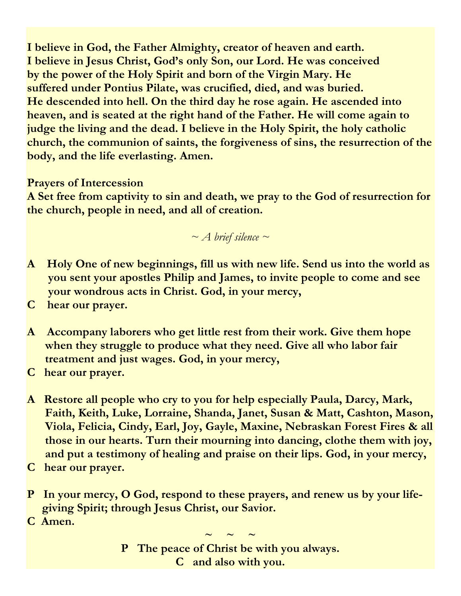**I believe in God, the Father Almighty, creator of heaven and earth. I believe in Jesus Christ, God's only Son, our Lord. He was conceived by the power of the Holy Spirit and born of the Virgin Mary. He suffered under Pontius Pilate, was crucified, died, and was buried. He descended into hell. On the third day he rose again. He ascended into heaven, and is seated at the right hand of the Father. He will come again to judge the living and the dead. I believe in the Holy Spirit, the holy catholic church, the communion of saints, the forgiveness of sins, the resurrection of the body, and the life everlasting. Amen.**

**Prayers of Intercession**

**A Set free from captivity to sin and death, we pray to the God of resurrection for the church, people in need, and all of creation.**

*~ A brief silence ~*

- **A Holy One of new beginnings, fill us with new life. Send us into the world as you sent your apostles Philip and James, to invite people to come and see your wondrous acts in Christ. God, in your mercy,**
- **C hear our prayer.**
- **A Accompany laborers who get little rest from their work. Give them hope when they struggle to produce what they need. Give all who labor fair treatment and just wages. God, in your mercy,**
- **C hear our prayer.**
- **A Restore all people who cry to you for help especially Paula, Darcy, Mark, Faith, Keith, Luke, Lorraine, Shanda, Janet, Susan & Matt, Cashton, Mason, Viola, Felicia, Cindy, Earl, Joy, Gayle, Maxine, Nebraskan Forest Fires & all those in our hearts. Turn their mourning into dancing, clothe them with joy, and put a testimony of healing and praise on their lips. God, in your mercy,**
- **C hear our prayer.**
- **P In your mercy, O God, respond to these prayers, and renew us by your life giving Spirit; through Jesus Christ, our Savior.**
- **C Amen.**

 $\sim$   $\sim$   $\sim$ **P The peace of Christ be with you always. C and also with you.**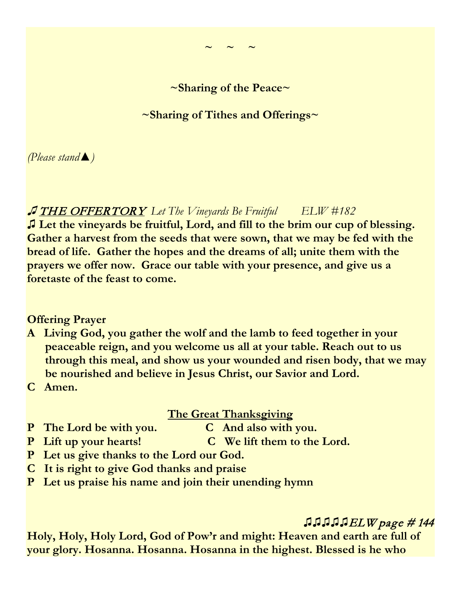**~Sharing of the Peace~**

 $\sim$   $\sim$   $\sim$ 

**~Sharing of Tithes and Offerings~**

*(Please stand▲)* 

# **♫** THE OFFERTORY *Let The Vineyards Be Fruitful ELW #182*

**♫ Let the vineyards be fruitful, Lord, and fill to the brim our cup of blessing. Gather a harvest from the seeds that were sown, that we may be fed with the bread of life. Gather the hopes and the dreams of all; unite them with the prayers we offer now. Grace our table with your presence, and give us a foretaste of the feast to come.**

**Offering Prayer**

- **A Living God, you gather the wolf and the lamb to feed together in your peaceable reign, and you welcome us all at your table. Reach out to us through this meal, and show us your wounded and risen body, that we may be nourished and believe in Jesus Christ, our Savior and Lord.**
- **C Amen.**

# **The Great Thanksgiving**<br>**C** And also with you.

- **P** The Lord be with you.
	-
- **P** Lift up your hearts! C We lift them to the Lord.
- **P Let us give thanks to the Lord our God.**
- **C It is right to give God thanks and praise**
- **P Let us praise his name and join their unending hymn**

# **♫♫♫♫♫**ELW page # 144

**Holy, Holy, Holy Lord, God of Pow'r and might: Heaven and earth are full of your glory. Hosanna. Hosanna. Hosanna in the highest. Blessed is he who**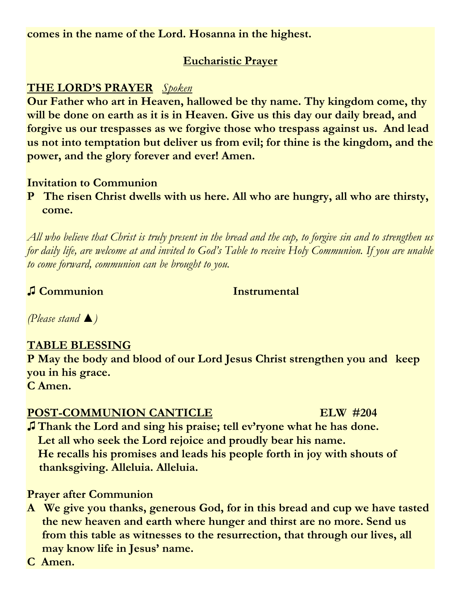**comes in the name of the Lord. Hosanna in the highest.**

# **Eucharistic Prayer**

# **THE LORD'S PRAYER** *Spoken*

**Our Father who art in Heaven, hallowed be thy name. Thy kingdom come, thy will be done on earth as it is in Heaven. Give us this day our daily bread, and forgive us our trespasses as we forgive those who trespass against us. And lead us not into temptation but deliver us from evil; for thine is the kingdom, and the power, and the glory forever and ever! Amen.**

#### **Invitation to Communion**

**P The risen Christ dwells with us here. All who are hungry, all who are thirsty, come.**

*All who believe that Christ is truly present in the bread and the cup, to forgive sin and to strengthen us for daily life, are welcome at and invited to God's Table to receive Holy Communion. If you are unable to come forward, communion can be brought to you.*

**♫ Communion Instrumental** 

*(Please stand ▲)*

# **TABLE BLESSING**

**P May the body and blood of our Lord Jesus Christ strengthen you and keep you in his grace.** 

**C Amen.**

# **POST-COMMUNION CANTICLE** ELW #204

**♫ Thank the Lord and sing his praise; tell ev'ryone what he has done. Let all who seek the Lord rejoice and proudly bear his name. He recalls his promises and leads his people forth in joy with shouts of thanksgiving. Alleluia. Alleluia.**

# **Prayer after Communion**

- **A We give you thanks, generous God, for in this bread and cup we have tasted the new heaven and earth where hunger and thirst are no more. Send us from this table as witnesses to the resurrection, that through our lives, all may know life in Jesus' name.**
- **C Amen.**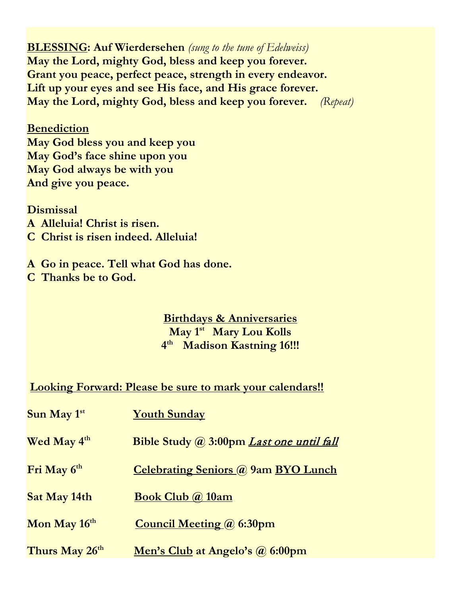**BLESSING: Auf Wierdersehen** *(sung to the tune of Edelweiss)* **May the Lord, mighty God, bless and keep you forever. Grant you peace, perfect peace, strength in every endeavor. Lift up your eyes and see His face, and His grace forever. May the Lord, mighty God, bless and keep you forever.** *(Repeat)*

**Benediction May God bless you and keep you May God's face shine upon you May God always be with you And give you peace.**

**Dismissal**

- **A Alleluia! Christ is risen.**
- **C Christ is risen indeed. Alleluia!**
- **A Go in peace. Tell what God has done.**
- **C Thanks be to God.**

#### **Birthdays & Anniversaries May 1st Mary Lou Kolls 4th Madison Kastning 16!!!**

#### **Looking Forward: Please be sure to mark your calendars!!**

| Sun May 1st    | <b>Youth Sunday</b>                             |
|----------------|-------------------------------------------------|
| Wed May 4th    | Bible Study @ 3:00pm <i>Last one until fall</i> |
| Fri May 6th    | <b>Celebrating Seniors @ 9am BYO Lunch</b>      |
| Sat May 14th   | <b>Book Club @ 10am</b>                         |
| Mon May 16th   | <b>Council Meeting @ 6:30pm</b>                 |
| Thurs May 26th | Men's Club at Angelo's @ 6:00pm                 |